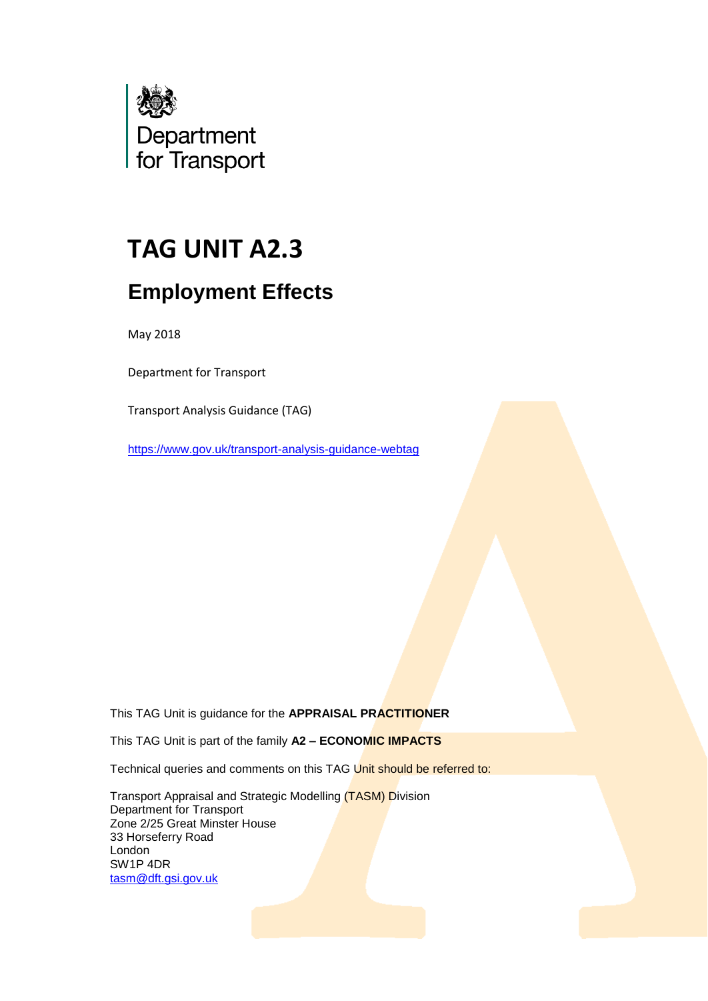

# **TAG UNIT A2.3**

## **Employment Effects**

May 2018

Department for Transport

Transport Analysis Guidance (TAG)

<https://www.gov.uk/transport-analysis-guidance-webtag>

This TAG Unit is guidance for the **APPRAISAL PRACTITIONER**

This TAG Unit is part of the family **A2 – ECONOMIC IMPACTS**

Technical queries and comments on this TAG Unit should be referred to:

Transport Appraisal and Strategic Modelling (TASM) Division Department for Transport Zone 2/25 Great Minster House 33 Horseferry Road London SW1P 4DR tasm@dft.gsi.gov.uk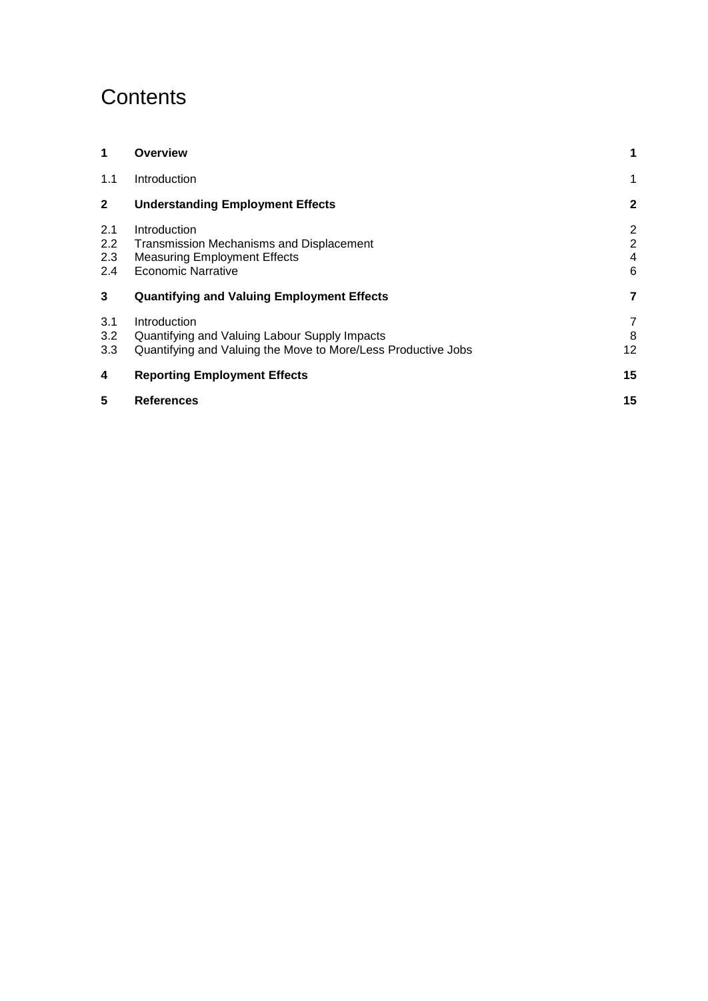## **Contents**

| 1                        | <b>Overview</b>                                                                                                                | 1                                          |
|--------------------------|--------------------------------------------------------------------------------------------------------------------------------|--------------------------------------------|
| 1.1                      | Introduction                                                                                                                   | 1                                          |
| $\mathbf{2}$             | <b>Understanding Employment Effects</b>                                                                                        | $\mathbf{2}$                               |
| 2.1<br>2.2<br>2.3<br>2.4 | Introduction<br>Transmission Mechanisms and Displacement<br><b>Measuring Employment Effects</b><br><b>Economic Narrative</b>   | $\overline{2}$<br>$\overline{2}$<br>4<br>6 |
| 3                        | <b>Quantifying and Valuing Employment Effects</b>                                                                              | 7                                          |
| 3.1<br>3.2<br>3.3        | Introduction<br>Quantifying and Valuing Labour Supply Impacts<br>Quantifying and Valuing the Move to More/Less Productive Jobs | 7<br>8<br>12                               |
| 4                        | <b>Reporting Employment Effects</b>                                                                                            | 15                                         |
| 5                        | <b>References</b>                                                                                                              | 15                                         |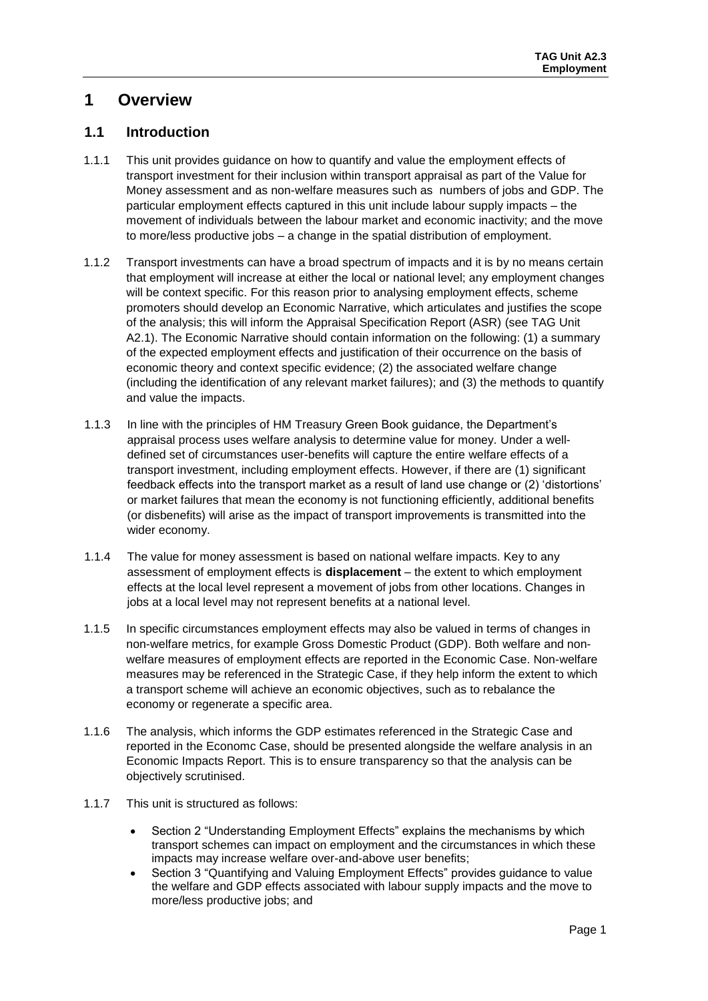### <span id="page-2-0"></span>**1 Overview**

### <span id="page-2-1"></span>**1.1 Introduction**

- 1.1.1 This unit provides guidance on how to quantify and value the employment effects of transport investment for their inclusion within transport appraisal as part of the Value for Money assessment and as non-welfare measures such as numbers of jobs and GDP. The particular employment effects captured in this unit include labour supply impacts – the movement of individuals between the labour market and economic inactivity; and the move to more/less productive jobs – a change in the spatial distribution of employment.
- 1.1.2 Transport investments can have a broad spectrum of impacts and it is by no means certain that employment will increase at either the local or national level; any employment changes will be context specific. For this reason prior to analysing employment effects, scheme promoters should develop an Economic Narrative, which articulates and justifies the scope of the analysis; this will inform the Appraisal Specification Report (ASR) (see TAG Unit A2.1). The Economic Narrative should contain information on the following: (1) a summary of the expected employment effects and justification of their occurrence on the basis of economic theory and context specific evidence; (2) the associated welfare change (including the identification of any relevant market failures); and (3) the methods to quantify and value the impacts.
- 1.1.3 In line with the principles of HM Treasury Green Book guidance, the Department's appraisal process uses welfare analysis to determine value for money. Under a welldefined set of circumstances user-benefits will capture the entire welfare effects of a transport investment, including employment effects. However, if there are (1) significant feedback effects into the transport market as a result of land use change or (2) 'distortions' or market failures that mean the economy is not functioning efficiently, additional benefits (or disbenefits) will arise as the impact of transport improvements is transmitted into the wider economy.
- 1.1.4 The value for money assessment is based on national welfare impacts. Key to any assessment of employment effects is **displacement** – the extent to which employment effects at the local level represent a movement of jobs from other locations. Changes in jobs at a local level may not represent benefits at a national level.
- 1.1.5 In specific circumstances employment effects may also be valued in terms of changes in non-welfare metrics, for example Gross Domestic Product (GDP). Both welfare and nonwelfare measures of employment effects are reported in the Economic Case. Non-welfare measures may be referenced in the Strategic Case, if they help inform the extent to which a transport scheme will achieve an economic objectives, such as to rebalance the economy or regenerate a specific area.
- 1.1.6 The analysis, which informs the GDP estimates referenced in the Strategic Case and reported in the Economc Case, should be presented alongside the welfare analysis in an Economic Impacts Report. This is to ensure transparency so that the analysis can be objectively scrutinised.
- 1.1.7 This unit is structured as follows:
	- Section 2 "Understanding Employment Effects" explains the mechanisms by which transport schemes can impact on employment and the circumstances in which these impacts may increase welfare over-and-above user benefits;
	- Section 3 "Quantifying and Valuing Employment Effects" provides guidance to value the welfare and GDP effects associated with labour supply impacts and the move to more/less productive jobs; and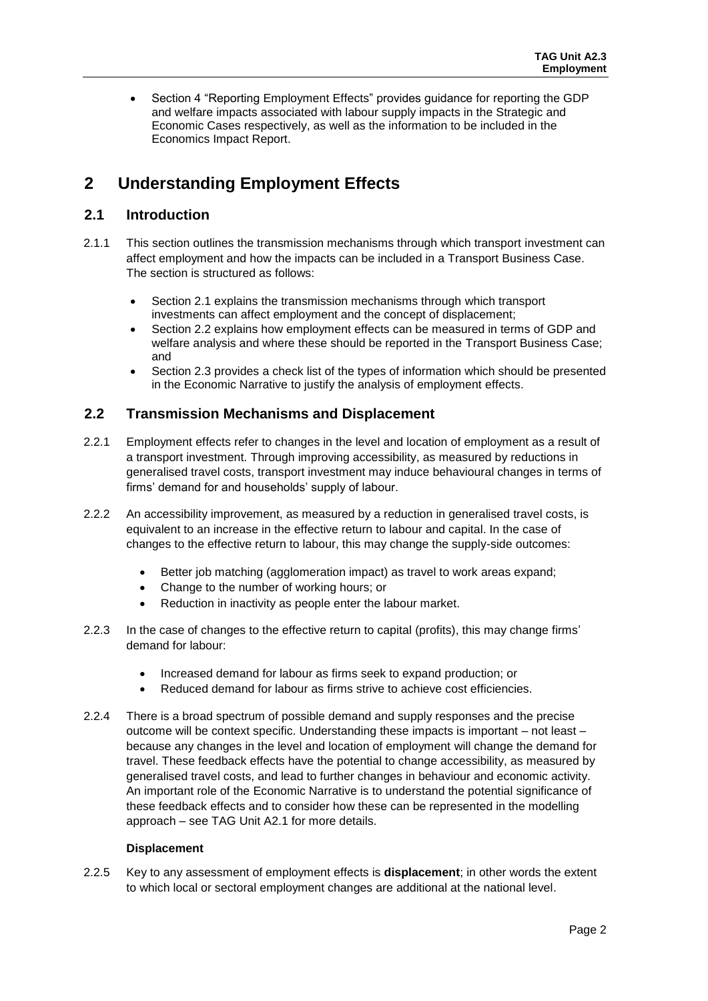Section 4 "Reporting Employment Effects" provides guidance for reporting the GDP and welfare impacts associated with labour supply impacts in the Strategic and Economic Cases respectively, as well as the information to be included in the Economics Impact Report.

### <span id="page-3-0"></span>**2 Understanding Employment Effects**

### <span id="page-3-1"></span>**2.1 Introduction**

- 2.1.1 This section outlines the transmission mechanisms through which transport investment can affect employment and how the impacts can be included in a Transport Business Case. The section is structured as follows:
	- Section 2.1 explains the transmission mechanisms through which transport investments can affect employment and the concept of displacement;
	- Section 2.2 explains how employment effects can be measured in terms of GDP and welfare analysis and where these should be reported in the Transport Business Case; and
	- Section 2.3 provides a check list of the types of information which should be presented in the Economic Narrative to justify the analysis of employment effects.

### <span id="page-3-2"></span>**2.2 Transmission Mechanisms and Displacement**

- 2.2.1 Employment effects refer to changes in the level and location of employment as a result of a transport investment. Through improving accessibility, as measured by reductions in generalised travel costs, transport investment may induce behavioural changes in terms of firms' demand for and households' supply of labour.
- 2.2.2 An accessibility improvement, as measured by a reduction in generalised travel costs, is equivalent to an increase in the effective return to labour and capital. In the case of changes to the effective return to labour, this may change the supply-side outcomes:
	- Better job matching (agglomeration impact) as travel to work areas expand;
	- Change to the number of working hours; or
	- Reduction in inactivity as people enter the labour market.
- 2.2.3 In the case of changes to the effective return to capital (profits), this may change firms' demand for labour:
	- Increased demand for labour as firms seek to expand production; or
	- Reduced demand for labour as firms strive to achieve cost efficiencies.
- 2.2.4 There is a broad spectrum of possible demand and supply responses and the precise outcome will be context specific. Understanding these impacts is important – not least – because any changes in the level and location of employment will change the demand for travel. These feedback effects have the potential to change accessibility, as measured by generalised travel costs, and lead to further changes in behaviour and economic activity. An important role of the Economic Narrative is to understand the potential significance of these feedback effects and to consider how these can be represented in the modelling approach – see TAG Unit A2.1 for more details.

### **Displacement**

2.2.5 Key to any assessment of employment effects is **displacement**; in other words the extent to which local or sectoral employment changes are additional at the national level.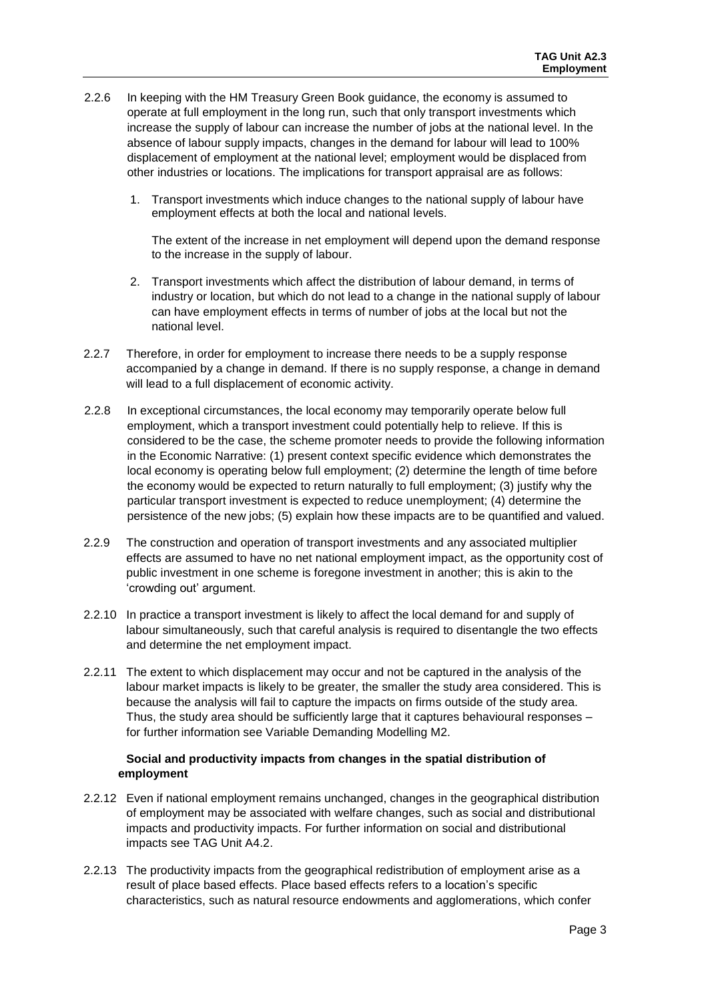- 2.2.6 In keeping with the HM Treasury Green Book guidance, the economy is assumed to operate at full employment in the long run, such that only transport investments which increase the supply of labour can increase the number of jobs at the national level. In the absence of labour supply impacts, changes in the demand for labour will lead to 100% displacement of employment at the national level; employment would be displaced from other industries or locations. The implications for transport appraisal are as follows:
	- 1. Transport investments which induce changes to the national supply of labour have employment effects at both the local and national levels.

The extent of the increase in net employment will depend upon the demand response to the increase in the supply of labour.

- 2. Transport investments which affect the distribution of labour demand, in terms of industry or location, but which do not lead to a change in the national supply of labour can have employment effects in terms of number of jobs at the local but not the national level.
- 2.2.7 Therefore, in order for employment to increase there needs to be a supply response accompanied by a change in demand. If there is no supply response, a change in demand will lead to a full displacement of economic activity.
- 2.2.8 In exceptional circumstances, the local economy may temporarily operate below full employment, which a transport investment could potentially help to relieve. If this is considered to be the case, the scheme promoter needs to provide the following information in the Economic Narrative: (1) present context specific evidence which demonstrates the local economy is operating below full employment; (2) determine the length of time before the economy would be expected to return naturally to full employment; (3) justify why the particular transport investment is expected to reduce unemployment; (4) determine the persistence of the new jobs; (5) explain how these impacts are to be quantified and valued.
- 2.2.9 The construction and operation of transport investments and any associated multiplier effects are assumed to have no net national employment impact, as the opportunity cost of public investment in one scheme is foregone investment in another; this is akin to the 'crowding out' argument.
- 2.2.10 In practice a transport investment is likely to affect the local demand for and supply of labour simultaneously, such that careful analysis is required to disentangle the two effects and determine the net employment impact.
- 2.2.11 The extent to which displacement may occur and not be captured in the analysis of the labour market impacts is likely to be greater, the smaller the study area considered. This is because the analysis will fail to capture the impacts on firms outside of the study area. Thus, the study area should be sufficiently large that it captures behavioural responses – for further information see Variable Demanding Modelling M2.

### **Social and productivity impacts from changes in the spatial distribution of employment**

- 2.2.12 Even if national employment remains unchanged, changes in the geographical distribution of employment may be associated with welfare changes, such as social and distributional impacts and productivity impacts. For further information on social and distributional impacts see TAG Unit A4.2.
- 2.2.13 The productivity impacts from the geographical redistribution of employment arise as a result of place based effects. Place based effects refers to a location's specific characteristics, such as natural resource endowments and agglomerations, which confer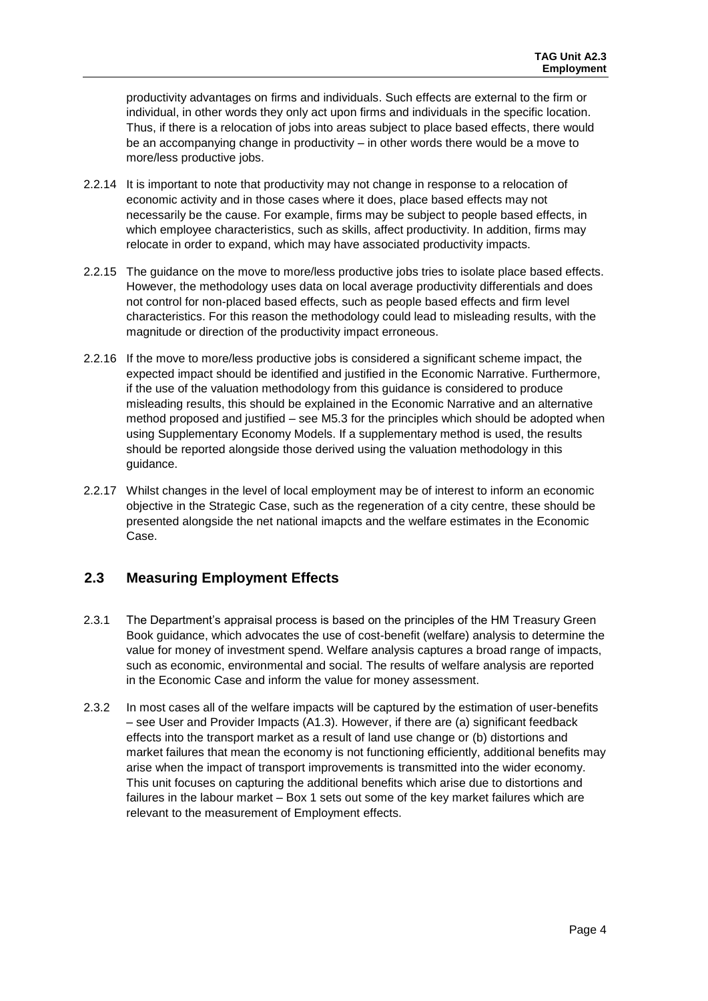productivity advantages on firms and individuals. Such effects are external to the firm or individual, in other words they only act upon firms and individuals in the specific location. Thus, if there is a relocation of jobs into areas subject to place based effects, there would be an accompanying change in productivity – in other words there would be a move to more/less productive jobs.

- 2.2.14 It is important to note that productivity may not change in response to a relocation of economic activity and in those cases where it does, place based effects may not necessarily be the cause. For example, firms may be subject to people based effects, in which employee characteristics, such as skills, affect productivity. In addition, firms may relocate in order to expand, which may have associated productivity impacts.
- 2.2.15 The guidance on the move to more/less productive jobs tries to isolate place based effects. However, the methodology uses data on local average productivity differentials and does not control for non-placed based effects, such as people based effects and firm level characteristics. For this reason the methodology could lead to misleading results, with the magnitude or direction of the productivity impact erroneous.
- 2.2.16 If the move to more/less productive jobs is considered a significant scheme impact, the expected impact should be identified and justified in the Economic Narrative. Furthermore, if the use of the valuation methodology from this guidance is considered to produce misleading results, this should be explained in the Economic Narrative and an alternative method proposed and justified – see M5.3 for the principles which should be adopted when using Supplementary Economy Models. If a supplementary method is used, the results should be reported alongside those derived using the valuation methodology in this guidance.
- 2.2.17 Whilst changes in the level of local employment may be of interest to inform an economic objective in the Strategic Case, such as the regeneration of a city centre, these should be presented alongside the net national imapcts and the welfare estimates in the Economic Case.

### <span id="page-5-0"></span>**2.3 Measuring Employment Effects**

- 2.3.1 The Department's appraisal process is based on the principles of the HM Treasury Green Book guidance, which advocates the use of cost-benefit (welfare) analysis to determine the value for money of investment spend. Welfare analysis captures a broad range of impacts, such as economic, environmental and social. The results of welfare analysis are reported in the Economic Case and inform the value for money assessment.
- 2.3.2 In most cases all of the welfare impacts will be captured by the estimation of user-benefits – see User and Provider Impacts (A1.3). However, if there are (a) significant feedback effects into the transport market as a result of land use change or (b) distortions and market failures that mean the economy is not functioning efficiently, additional benefits may arise when the impact of transport improvements is transmitted into the wider economy. This unit focuses on capturing the additional benefits which arise due to distortions and failures in the labour market – Box 1 sets out some of the key market failures which are relevant to the measurement of Employment effects.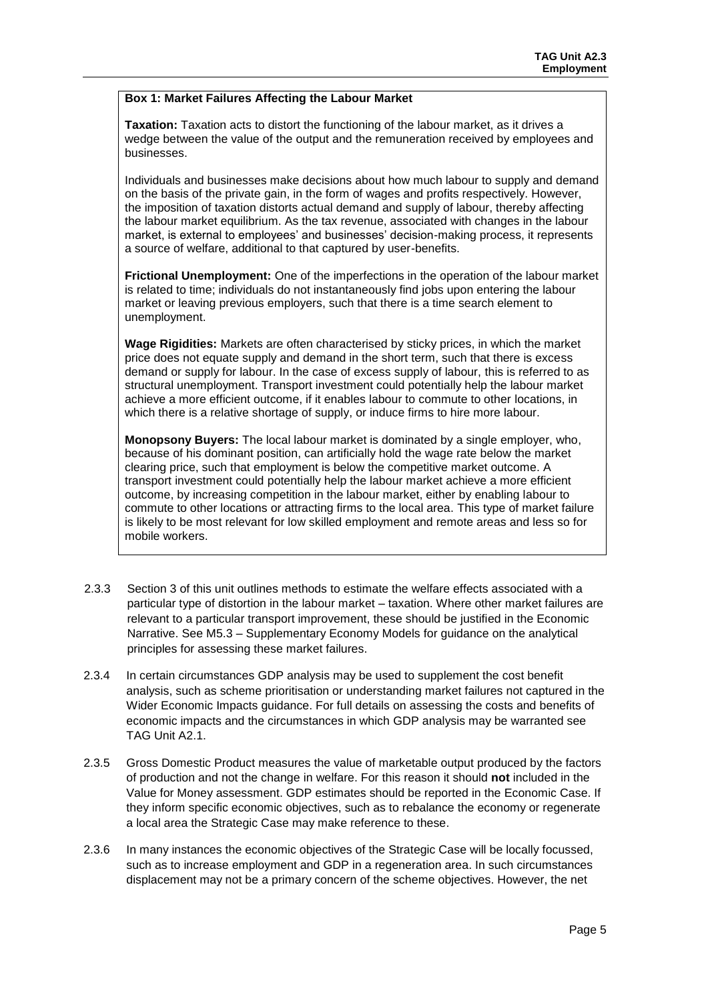### **Box 1: Market Failures Affecting the Labour Market**

**Taxation:** Taxation acts to distort the functioning of the labour market, as it drives a wedge between the value of the output and the remuneration received by employees and businesses.

Individuals and businesses make decisions about how much labour to supply and demand on the basis of the private gain, in the form of wages and profits respectively. However, the imposition of taxation distorts actual demand and supply of labour, thereby affecting the labour market equilibrium. As the tax revenue, associated with changes in the labour market, is external to employees' and businesses' decision-making process, it represents a source of welfare, additional to that captured by user-benefits.

**Frictional Unemployment:** One of the imperfections in the operation of the labour market is related to time; individuals do not instantaneously find jobs upon entering the labour market or leaving previous employers, such that there is a time search element to unemployment.

**Wage Rigidities:** Markets are often characterised by sticky prices, in which the market price does not equate supply and demand in the short term, such that there is excess demand or supply for labour. In the case of excess supply of labour, this is referred to as structural unemployment. Transport investment could potentially help the labour market achieve a more efficient outcome, if it enables labour to commute to other locations, in which there is a relative shortage of supply, or induce firms to hire more labour.

**Monopsony Buyers:** The local labour market is dominated by a single employer, who, because of his dominant position, can artificially hold the wage rate below the market clearing price, such that employment is below the competitive market outcome. A transport investment could potentially help the labour market achieve a more efficient outcome, by increasing competition in the labour market, either by enabling labour to commute to other locations or attracting firms to the local area. This type of market failure is likely to be most relevant for low skilled employment and remote areas and less so for mobile workers.

- 2.3.3 Section 3 of this unit outlines methods to estimate the welfare effects associated with a particular type of distortion in the labour market – taxation. Where other market failures are relevant to a particular transport improvement, these should be justified in the Economic Narrative. See M5.3 – Supplementary Economy Models for guidance on the analytical principles for assessing these market failures.
- 2.3.4 In certain circumstances GDP analysis may be used to supplement the cost benefit analysis, such as scheme prioritisation or understanding market failures not captured in the Wider Economic Impacts guidance. For full details on assessing the costs and benefits of economic impacts and the circumstances in which GDP analysis may be warranted see TAG Unit A2.1.
- 2.3.5 Gross Domestic Product measures the value of marketable output produced by the factors of production and not the change in welfare. For this reason it should **not** included in the Value for Money assessment. GDP estimates should be reported in the Economic Case. If they inform specific economic objectives, such as to rebalance the economy or regenerate a local area the Strategic Case may make reference to these.
- 2.3.6 In many instances the economic objectives of the Strategic Case will be locally focussed, such as to increase employment and GDP in a regeneration area. In such circumstances displacement may not be a primary concern of the scheme objectives. However, the net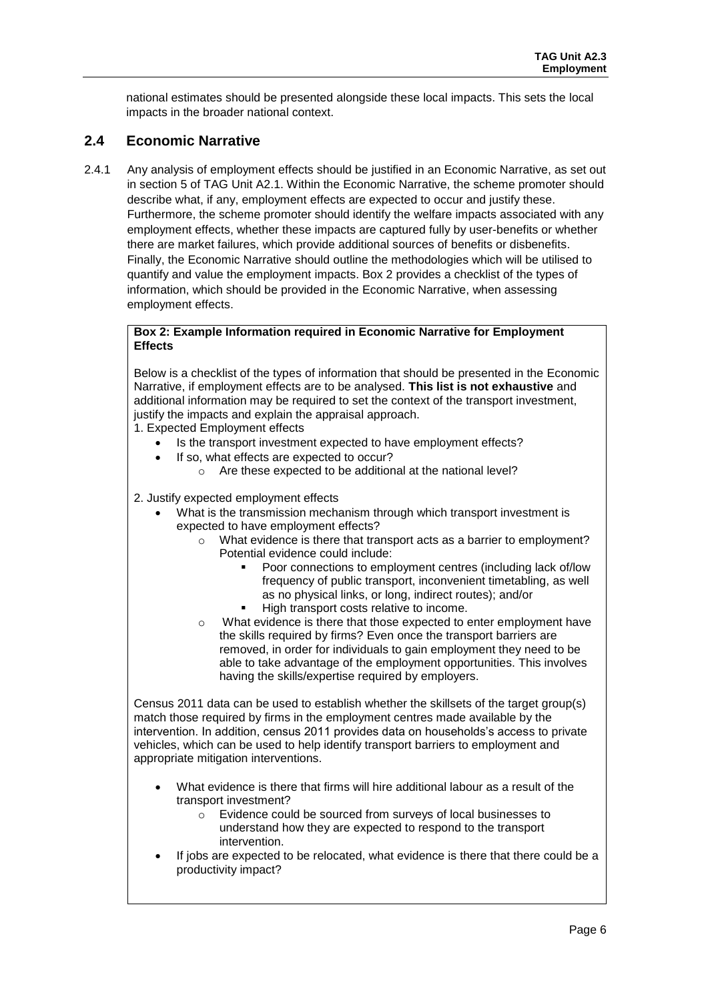national estimates should be presented alongside these local impacts. This sets the local impacts in the broader national context.

### <span id="page-7-0"></span>**2.4 Economic Narrative**

2.4.1 Any analysis of employment effects should be justified in an Economic Narrative, as set out in section 5 of TAG Unit A2.1. Within the Economic Narrative, the scheme promoter should describe what, if any, employment effects are expected to occur and justify these. Furthermore, the scheme promoter should identify the welfare impacts associated with any employment effects, whether these impacts are captured fully by user-benefits or whether there are market failures, which provide additional sources of benefits or disbenefits. Finally, the Economic Narrative should outline the methodologies which will be utilised to quantify and value the employment impacts. Box 2 provides a checklist of the types of information, which should be provided in the Economic Narrative, when assessing employment effects.

#### **Box 2: Example Information required in Economic Narrative for Employment Effects**

Below is a checklist of the types of information that should be presented in the Economic Narrative, if employment effects are to be analysed. **This list is not exhaustive** and additional information may be required to set the context of the transport investment, justify the impacts and explain the appraisal approach.

1. Expected Employment effects

- Is the transport investment expected to have employment effects?
- If so, what effects are expected to occur?
	- o Are these expected to be additional at the national level?
- 2. Justify expected employment effects
	- What is the transmission mechanism through which transport investment is expected to have employment effects?
		- o What evidence is there that transport acts as a barrier to employment? Potential evidence could include:
			- Poor connections to employment centres (including lack of/low frequency of public transport, inconvenient timetabling, as well as no physical links, or long, indirect routes); and/or High transport costs relative to income.
		- o What evidence is there that those expected to enter employment have the skills required by firms? Even once the transport barriers are removed, in order for individuals to gain employment they need to be able to take advantage of the employment opportunities. This involves having the skills/expertise required by employers.

Census 2011 data can be used to establish whether the skillsets of the target group(s) match those required by firms in the employment centres made available by the intervention. In addition, census 2011 provides data on households's access to private vehicles, which can be used to help identify transport barriers to employment and appropriate mitigation interventions.

- What evidence is there that firms will hire additional labour as a result of the transport investment?
	- o Evidence could be sourced from surveys of local businesses to understand how they are expected to respond to the transport intervention.
- If jobs are expected to be relocated, what evidence is there that there could be a productivity impact?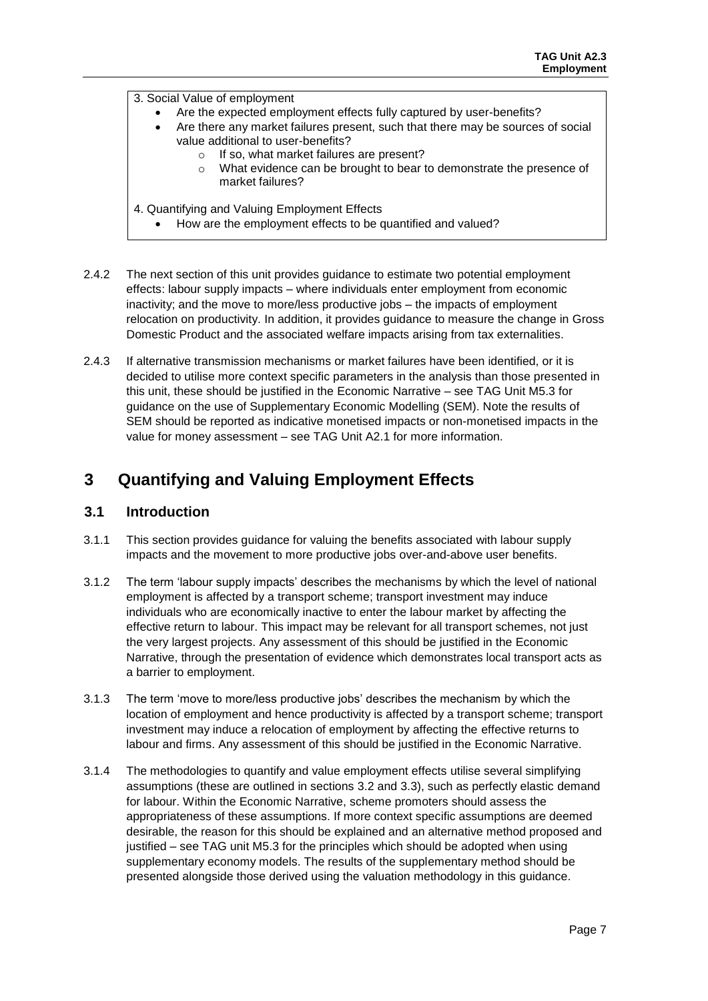3. Social Value of employment

- Are the expected employment effects fully captured by user-benefits?
- Are there any market failures present, such that there may be sources of social value additional to user-benefits?
	- o If so, what market failures are present?
	- o What evidence can be brought to bear to demonstrate the presence of market failures?
- 4. Quantifying and Valuing Employment Effects
	- How are the employment effects to be quantified and valued?
- 2.4.2 The next section of this unit provides guidance to estimate two potential employment effects: labour supply impacts – where individuals enter employment from economic inactivity; and the move to more/less productive jobs – the impacts of employment relocation on productivity. In addition, it provides guidance to measure the change in Gross Domestic Product and the associated welfare impacts arising from tax externalities.
- 2.4.3 If alternative transmission mechanisms or market failures have been identified, or it is decided to utilise more context specific parameters in the analysis than those presented in this unit, these should be justified in the Economic Narrative – see TAG Unit M5.3 for guidance on the use of Supplementary Economic Modelling (SEM). Note the results of SEM should be reported as indicative monetised impacts or non-monetised impacts in the value for money assessment – see TAG Unit A2.1 for more information.

### <span id="page-8-0"></span>**3 Quantifying and Valuing Employment Effects**

### <span id="page-8-1"></span>**3.1 Introduction**

- 3.1.1 This section provides guidance for valuing the benefits associated with labour supply impacts and the movement to more productive jobs over-and-above user benefits.
- 3.1.2 The term 'labour supply impacts' describes the mechanisms by which the level of national employment is affected by a transport scheme; transport investment may induce individuals who are economically inactive to enter the labour market by affecting the effective return to labour. This impact may be relevant for all transport schemes, not just the very largest projects. Any assessment of this should be justified in the Economic Narrative, through the presentation of evidence which demonstrates local transport acts as a barrier to employment.
- 3.1.3 The term 'move to more/less productive jobs' describes the mechanism by which the location of employment and hence productivity is affected by a transport scheme; transport investment may induce a relocation of employment by affecting the effective returns to labour and firms. Any assessment of this should be justified in the Economic Narrative.
- 3.1.4 The methodologies to quantify and value employment effects utilise several simplifying assumptions (these are outlined in sections 3.2 and 3.3), such as perfectly elastic demand for labour. Within the Economic Narrative, scheme promoters should assess the appropriateness of these assumptions. If more context specific assumptions are deemed desirable, the reason for this should be explained and an alternative method proposed and justified – see TAG unit M5.3 for the principles which should be adopted when using supplementary economy models. The results of the supplementary method should be presented alongside those derived using the valuation methodology in this guidance.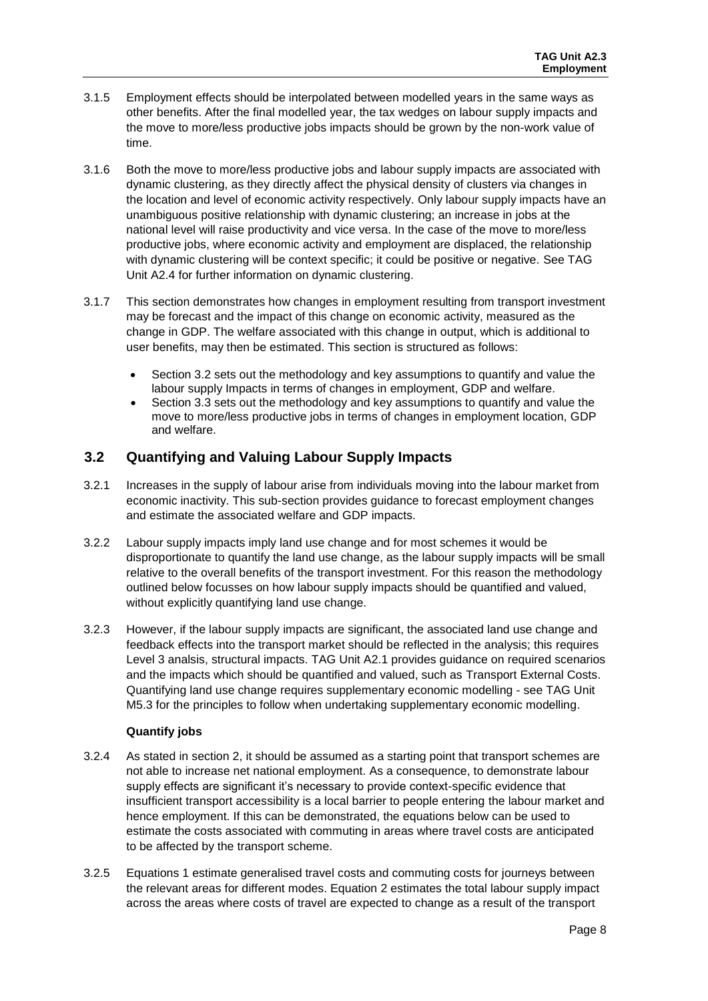- 3.1.5 Employment effects should be interpolated between modelled years in the same ways as other benefits. After the final modelled year, the tax wedges on labour supply impacts and the move to more/less productive jobs impacts should be grown by the non-work value of time.
- 3.1.6 Both the move to more/less productive jobs and labour supply impacts are associated with dynamic clustering, as they directly affect the physical density of clusters via changes in the location and level of economic activity respectively. Only labour supply impacts have an unambiguous positive relationship with dynamic clustering; an increase in jobs at the national level will raise productivity and vice versa. In the case of the move to more/less productive jobs, where economic activity and employment are displaced, the relationship with dynamic clustering will be context specific; it could be positive or negative. See TAG Unit A2.4 for further information on dynamic clustering.
- 3.1.7 This section demonstrates how changes in employment resulting from transport investment may be forecast and the impact of this change on economic activity, measured as the change in GDP. The welfare associated with this change in output, which is additional to user benefits, may then be estimated. This section is structured as follows:
	- Section 3.2 sets out the methodology and key assumptions to quantify and value the labour supply Impacts in terms of changes in employment, GDP and welfare.
	- Section 3.3 sets out the methodology and key assumptions to quantify and value the move to more/less productive jobs in terms of changes in employment location, GDP and welfare.

### <span id="page-9-0"></span>**3.2 Quantifying and Valuing Labour Supply Impacts**

- 3.2.1 Increases in the supply of labour arise from individuals moving into the labour market from economic inactivity. This sub-section provides guidance to forecast employment changes and estimate the associated welfare and GDP impacts.
- 3.2.2 Labour supply impacts imply land use change and for most schemes it would be disproportionate to quantify the land use change, as the labour supply impacts will be small relative to the overall benefits of the transport investment. For this reason the methodology outlined below focusses on how labour supply impacts should be quantified and valued, without explicitly quantifying land use change.
- 3.2.3 However, if the labour supply impacts are significant, the associated land use change and feedback effects into the transport market should be reflected in the analysis; this requires Level 3 analsis, structural impacts. TAG Unit A2.1 provides guidance on required scenarios and the impacts which should be quantified and valued, such as Transport External Costs. Quantifying land use change requires supplementary economic modelling - see TAG Unit M5.3 for the principles to follow when undertaking supplementary economic modelling.

### **Quantify jobs**

- 3.2.4 As stated in section 2, it should be assumed as a starting point that transport schemes are not able to increase net national employment. As a consequence, to demonstrate labour supply effects are significant it's necessary to provide context-specific evidence that insufficient transport accessibility is a local barrier to people entering the labour market and hence employment. If this can be demonstrated, the equations below can be used to estimate the costs associated with commuting in areas where travel costs are anticipated to be affected by the transport scheme.
- 3.2.5 Equations 1 estimate generalised travel costs and commuting costs for journeys between the relevant areas for different modes. Equation 2 estimates the total labour supply impact across the areas where costs of travel are expected to change as a result of the transport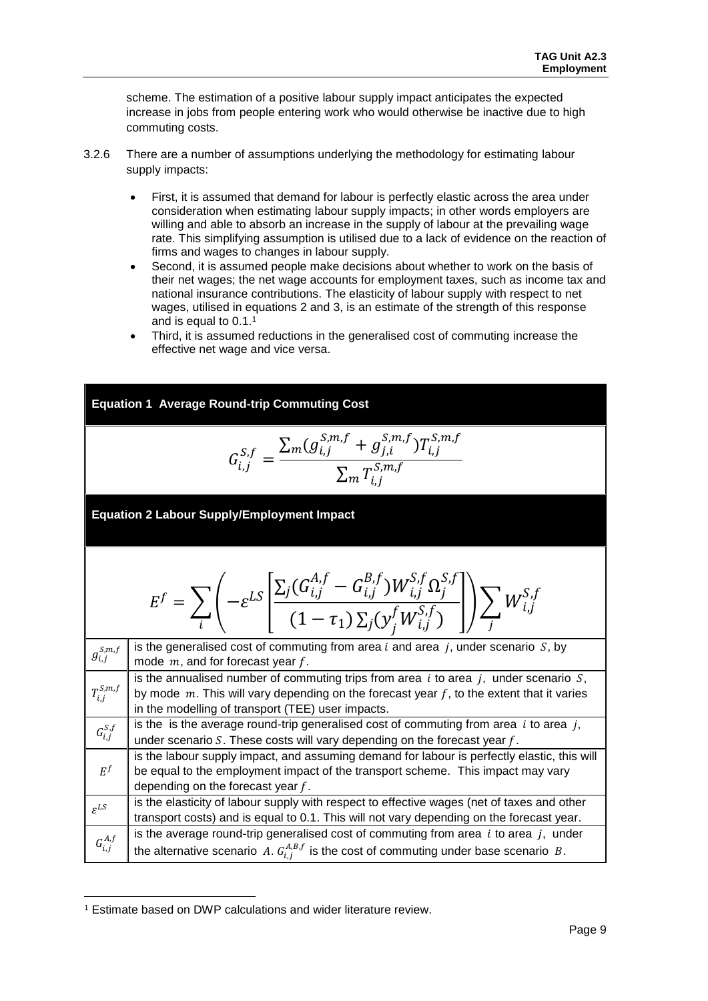scheme. The estimation of a positive labour supply impact anticipates the expected increase in jobs from people entering work who would otherwise be inactive due to high commuting costs.

- 3.2.6 There are a number of assumptions underlying the methodology for estimating labour supply impacts:
	- First, it is assumed that demand for labour is perfectly elastic across the area under consideration when estimating labour supply impacts; in other words employers are willing and able to absorb an increase in the supply of labour at the prevailing wage rate. This simplifying assumption is utilised due to a lack of evidence on the reaction of firms and wages to changes in labour supply.
	- Second, it is assumed people make decisions about whether to work on the basis of their net wages; the net wage accounts for employment taxes, such as income tax and national insurance contributions. The elasticity of labour supply with respect to net wages, utilised in equations 2 and 3, is an estimate of the strength of this response and is equal to 0.1. 1
	- Third, it is assumed reductions in the generalised cost of commuting increase the effective net wage and vice versa.

| <b>Equation 1 Average Round-trip Commuting Cost</b> |                                                                                                                                                                                                                                                     |  |  |
|-----------------------------------------------------|-----------------------------------------------------------------------------------------------------------------------------------------------------------------------------------------------------------------------------------------------------|--|--|
|                                                     | $G_{i,j}^{S,f} = \frac{\sum_{m}(g_{i,j}^{S,m,f} + g_{j,i}^{S,m,f})T_{i,j}^{S,m,f}}{\sum_{m} T_{i,i}^{S,m,f}}$                                                                                                                                       |  |  |
|                                                     | <b>Equation 2 Labour Supply/Employment Impact</b>                                                                                                                                                                                                   |  |  |
|                                                     | $E^{f} = \sum_{i} \left( -\varepsilon^{LS} \left  \frac{\sum_{j} (G^{A,j}_{i,j} - G^{B,j}_{i,j}) W^{S,j}_{i,j} \Omega^{S,j}_{j}}{(1 - \tau_{1}) \sum_{j} (y^{f}_{i} W^{S,f}_{j,j})} \right  \right) \sum_{i} W^{S,f}_{i,j}$                         |  |  |
| $g_{i,j}^{\mathcal{S},m,f}$                         | is the generalised cost of commuting from area $i$ and area $j$ , under scenario $S$ , by<br>mode $m$ , and for forecast year $f$ .                                                                                                                 |  |  |
| $T_{i,j}^{\mathcal{S},m,f}$                         | is the annualised number of commuting trips from area $i$ to area $j$ , under scenario $S$ ,<br>by mode $m$ . This will vary depending on the forecast year $f$ , to the extent that it varies<br>in the modelling of transport (TEE) user impacts. |  |  |
| $G_{i,j}^{S,f}$                                     | is the is the average round-trip generalised cost of commuting from area $i$ to area $j$ ,<br>under scenario $S$ . These costs will vary depending on the forecast year $f$ .                                                                       |  |  |
| $E^f$                                               | is the labour supply impact, and assuming demand for labour is perfectly elastic, this will<br>be equal to the employment impact of the transport scheme. This impact may vary<br>depending on the forecast year $f$ .                              |  |  |
| $\varepsilon^{LS}$                                  | is the elasticity of labour supply with respect to effective wages (net of taxes and other<br>transport costs) and is equal to 0.1. This will not vary depending on the forecast year.                                                              |  |  |
| $G_{i,j}^{A,f}$                                     | is the average round-trip generalised cost of commuting from area $i$ to area $j$ , under<br>the alternative scenario A. $G_{i,j}^{A,B,f}$ is the cost of commuting under base scenario B.                                                          |  |  |

l <sup>1</sup> Estimate based on DWP calculations and wider literature review.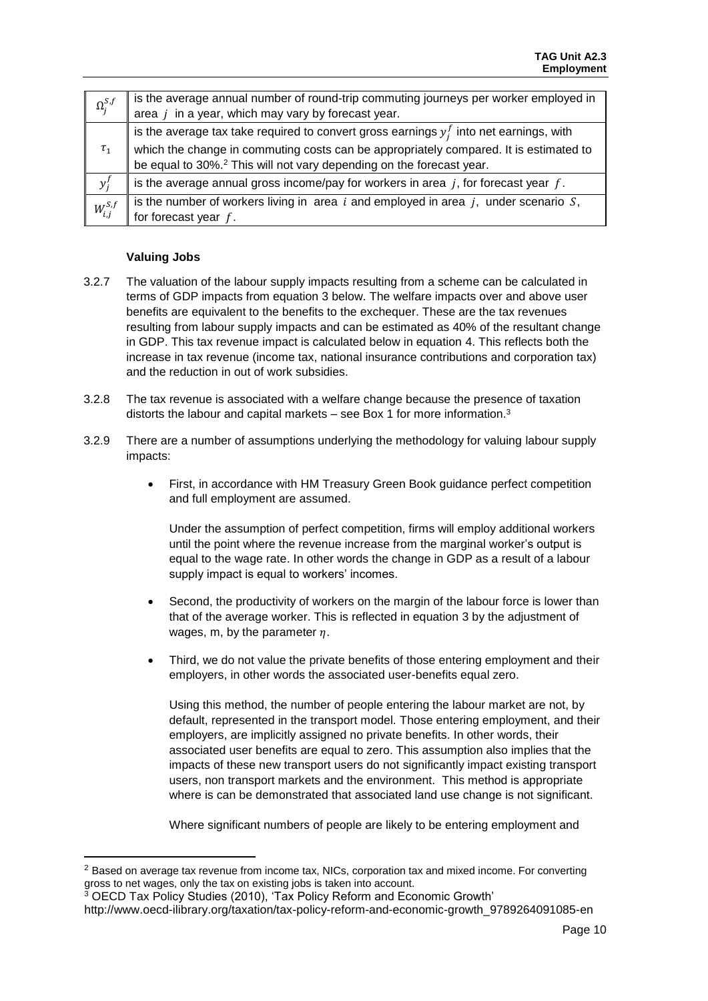| $\Omega_j^{S,f}$ | is the average annual number of round-trip commuting journeys per worker employed in<br>area $j$ in a year, which may vary by forecast year.                                                                                                                            |
|------------------|-------------------------------------------------------------------------------------------------------------------------------------------------------------------------------------------------------------------------------------------------------------------------|
| $\tau_1$         | is the average tax take required to convert gross earnings $y_i^f$ into net earnings, with<br>which the change in commuting costs can be appropriately compared. It is estimated to<br>be equal to 30%. <sup>2</sup> This will not vary depending on the forecast year. |
| $y_i^f$          | is the average annual gross income/pay for workers in area $j$ , for forecast year $f$ .                                                                                                                                                                                |
| $W_{i,j}^{S,f}$  | is the number of workers living in area $i$ and employed in area $j$ , under scenario $S$ ,<br>for forecast year $f$ .                                                                                                                                                  |

### **Valuing Jobs**

l

- 3.2.7 The valuation of the labour supply impacts resulting from a scheme can be calculated in terms of GDP impacts from equation 3 below. The welfare impacts over and above user benefits are equivalent to the benefits to the exchequer. These are the tax revenues resulting from labour supply impacts and can be estimated as 40% of the resultant change in GDP. This tax revenue impact is calculated below in equation 4. This reflects both the increase in tax revenue (income tax, national insurance contributions and corporation tax) and the reduction in out of work subsidies.
- 3.2.8 The tax revenue is associated with a welfare change because the presence of taxation distorts the labour and capital markets – see Box 1 for more information.<sup>3</sup>
- 3.2.9 There are a number of assumptions underlying the methodology for valuing labour supply impacts:
	- First, in accordance with HM Treasury Green Book guidance perfect competition and full employment are assumed.

Under the assumption of perfect competition, firms will employ additional workers until the point where the revenue increase from the marginal worker's output is equal to the wage rate. In other words the change in GDP as a result of a labour supply impact is equal to workers' incomes.

- Second, the productivity of workers on the margin of the labour force is lower than that of the average worker. This is reflected in equation 3 by the adjustment of wages, m, by the parameter  $\eta$ .
- Third, we do not value the private benefits of those entering employment and their employers, in other words the associated user-benefits equal zero.

Using this method, the number of people entering the labour market are not, by default, represented in the transport model. Those entering employment, and their employers, are implicitly assigned no private benefits. In other words, their associated user benefits are equal to zero. This assumption also implies that the impacts of these new transport users do not significantly impact existing transport users, non transport markets and the environment. This method is appropriate where is can be demonstrated that associated land use change is not significant.

Where significant numbers of people are likely to be entering employment and

<sup>2</sup> Based on average tax revenue from income tax, NICs, corporation tax and mixed income. For converting gross to net wages, only the tax on existing jobs is taken into account.

<sup>3</sup> OECD Tax Policy Studies (2010), 'Tax Policy Reform and Economic Growth'

http://www.oecd-ilibrary.org/taxation/tax-policy-reform-and-economic-growth\_9789264091085-en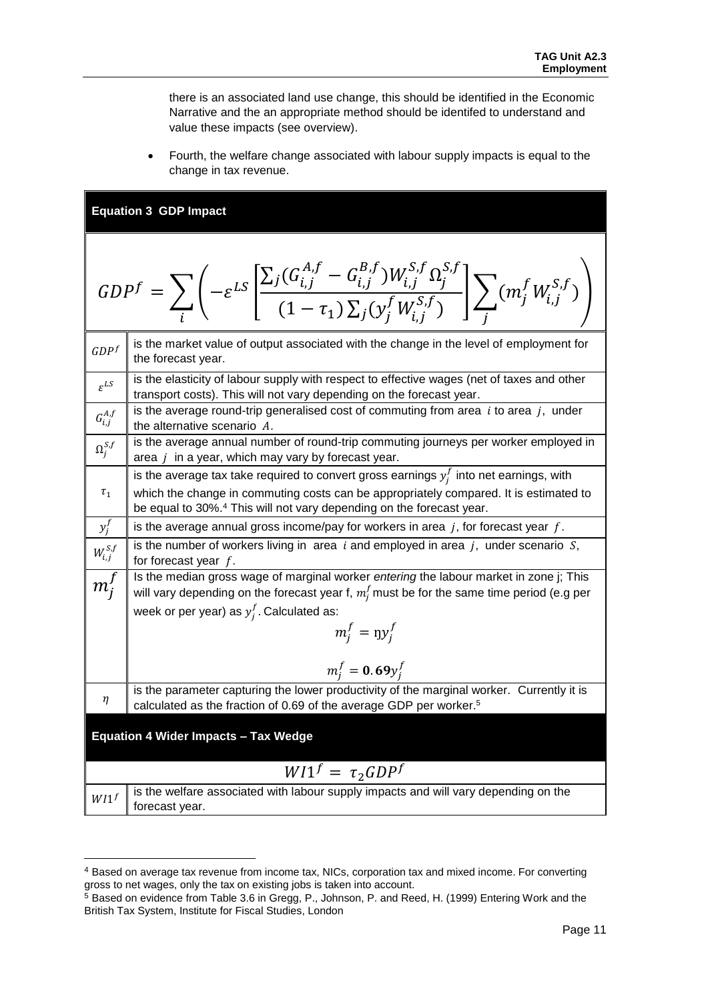there is an associated land use change, this should be identified in the Economic Narrative and the an appropriate method should be identifed to understand and value these impacts (see overview).

• Fourth, the welfare change associated with labour supply impacts is equal to the change in tax revenue.

### **Equation 3 GDP Impact**

 $\overline{\phantom{a}}$ 

$$
GDP^{f} = \sum_{i} \left( -\varepsilon^{LS} \left[ \frac{\sum_{j} (G_{i,j}^{A,f} - G_{i,j}^{B,f}) W_{i,j}^{S,f} \Omega_{j}^{S,f}}{(1 - \tau_{1}) \sum_{j} (y_{j}^{f} W_{i,j}^{S,f})} \right] \sum_{j} (m_{j}^{f} W_{i,j}^{S,f}) \right)
$$

| GDPf                                        | is the market value of output associated with the change in the level of employment for<br>the forecast year.                                                                                                                                                           |
|---------------------------------------------|-------------------------------------------------------------------------------------------------------------------------------------------------------------------------------------------------------------------------------------------------------------------------|
| $\varepsilon^{LS}$                          | is the elasticity of labour supply with respect to effective wages (net of taxes and other<br>transport costs). This will not vary depending on the forecast year.                                                                                                      |
| $G_{i,j}^{\scriptscriptstyle A,f}$          | is the average round-trip generalised cost of commuting from area $i$ to area $j$ , under<br>the alternative scenario A.                                                                                                                                                |
| $\Omega_j^{S,f}$                            | is the average annual number of round-trip commuting journeys per worker employed in<br>area $j$ in a year, which may vary by forecast year.                                                                                                                            |
| $\tau_{1}$                                  | is the average tax take required to convert gross earnings $y_i^f$ into net earnings, with<br>which the change in commuting costs can be appropriately compared. It is estimated to<br>be equal to 30%. <sup>4</sup> This will not vary depending on the forecast year. |
| $y_j^f$                                     | is the average annual gross income/pay for workers in area $j$ , for forecast year $f$ .                                                                                                                                                                                |
| $W_{i,j}^{S,f}$                             | is the number of workers living in area $i$ and employed in area $j$ , under scenario $S$ ,<br>for forecast year $f$ .                                                                                                                                                  |
| $\overline{m_j^f}$                          | Is the median gross wage of marginal worker entering the labour market in zone j; This<br>will vary depending on the forecast year f, $m_i^f$ must be for the same time period (e.g per                                                                                 |
|                                             | week or per year) as $y_i^f$ . Calculated as:                                                                                                                                                                                                                           |
|                                             | $m_i^f = \eta y_i^f$                                                                                                                                                                                                                                                    |
|                                             | $m_i^f = 0.69 y_i^f$                                                                                                                                                                                                                                                    |
| η                                           | is the parameter capturing the lower productivity of the marginal worker. Currently it is<br>calculated as the fraction of 0.69 of the average GDP per worker. <sup>5</sup>                                                                                             |
| <b>Equation 4 Wider Impacts - Tax Wedge</b> |                                                                                                                                                                                                                                                                         |
|                                             | $W/I^f = \tau_2 GDP^f$                                                                                                                                                                                                                                                  |
| $W/I^f$                                     | is the welfare associated with labour supply impacts and will vary depending on the                                                                                                                                                                                     |
|                                             | forecast year.                                                                                                                                                                                                                                                          |

<sup>4</sup> Based on average tax revenue from income tax, NICs, corporation tax and mixed income. For converting gross to net wages, only the tax on existing jobs is taken into account.

 $<sup>5</sup>$  Based on evidence from Table 3.6 in Gregg, P., Johnson, P. and Reed, H. (1999) Entering Work and the</sup> British Tax System, Institute for Fiscal Studies, London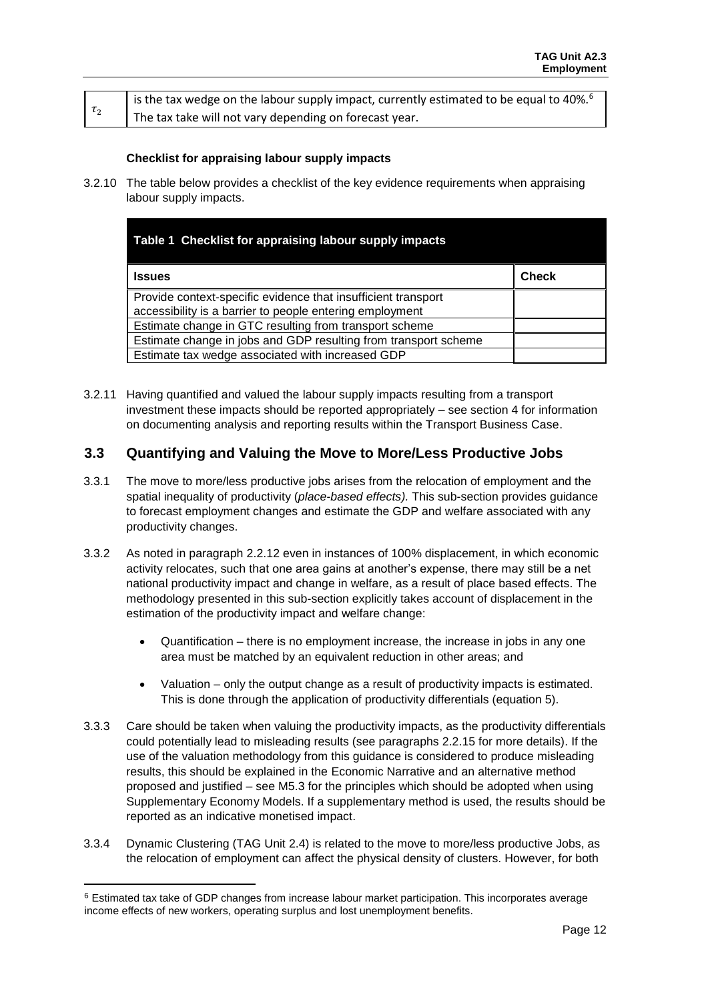|                      | is the tax wedge on the labour supply impact, currently estimated to be equal to 40%. <sup>6</sup> |
|----------------------|----------------------------------------------------------------------------------------------------|
| $\vert \tau_2 \vert$ | The tax take will not vary depending on forecast year.                                             |

### **Checklist for appraising labour supply impacts**

3.2.10 The table below provides a checklist of the key evidence requirements when appraising labour supply impacts.

| Table 1 Checklist for appraising labour supply impacts                                                             |       |
|--------------------------------------------------------------------------------------------------------------------|-------|
| <b>Issues</b>                                                                                                      | Check |
| Provide context-specific evidence that insufficient transport                                                      |       |
| accessibility is a barrier to people entering employment<br>Estimate change in GTC resulting from transport scheme |       |
| Estimate change in jobs and GDP resulting from transport scheme                                                    |       |
| Estimate tax wedge associated with increased GDP                                                                   |       |

3.2.11 Having quantified and valued the labour supply impacts resulting from a transport investment these impacts should be reported appropriately – see section 4 for information on documenting analysis and reporting results within the Transport Business Case.

### <span id="page-13-0"></span>**3.3 Quantifying and Valuing the Move to More/Less Productive Jobs**

- 3.3.1 The move to more/less productive jobs arises from the relocation of employment and the spatial inequality of productivity (*place-based effects).* This sub-section provides guidance to forecast employment changes and estimate the GDP and welfare associated with any productivity changes.
- 3.3.2 As noted in paragraph 2.2.12 even in instances of 100% displacement, in which economic activity relocates, such that one area gains at another's expense, there may still be a net national productivity impact and change in welfare, as a result of place based effects. The methodology presented in this sub-section explicitly takes account of displacement in the estimation of the productivity impact and welfare change:
	- Quantification there is no employment increase, the increase in jobs in any one area must be matched by an equivalent reduction in other areas; and
	- Valuation only the output change as a result of productivity impacts is estimated. This is done through the application of productivity differentials (equation 5).
- 3.3.3 Care should be taken when valuing the productivity impacts, as the productivity differentials could potentially lead to misleading results (see paragraphs 2.2.15 for more details). If the use of the valuation methodology from this guidance is considered to produce misleading results, this should be explained in the Economic Narrative and an alternative method proposed and justified – see M5.3 for the principles which should be adopted when using Supplementary Economy Models. If a supplementary method is used, the results should be reported as an indicative monetised impact.
- 3.3.4 Dynamic Clustering (TAG Unit 2.4) is related to the move to more/less productive Jobs, as the relocation of employment can affect the physical density of clusters. However, for both

 $\overline{\phantom{a}}$ 

<sup>6</sup> Estimated tax take of GDP changes from increase labour market participation. This incorporates average income effects of new workers, operating surplus and lost unemployment benefits.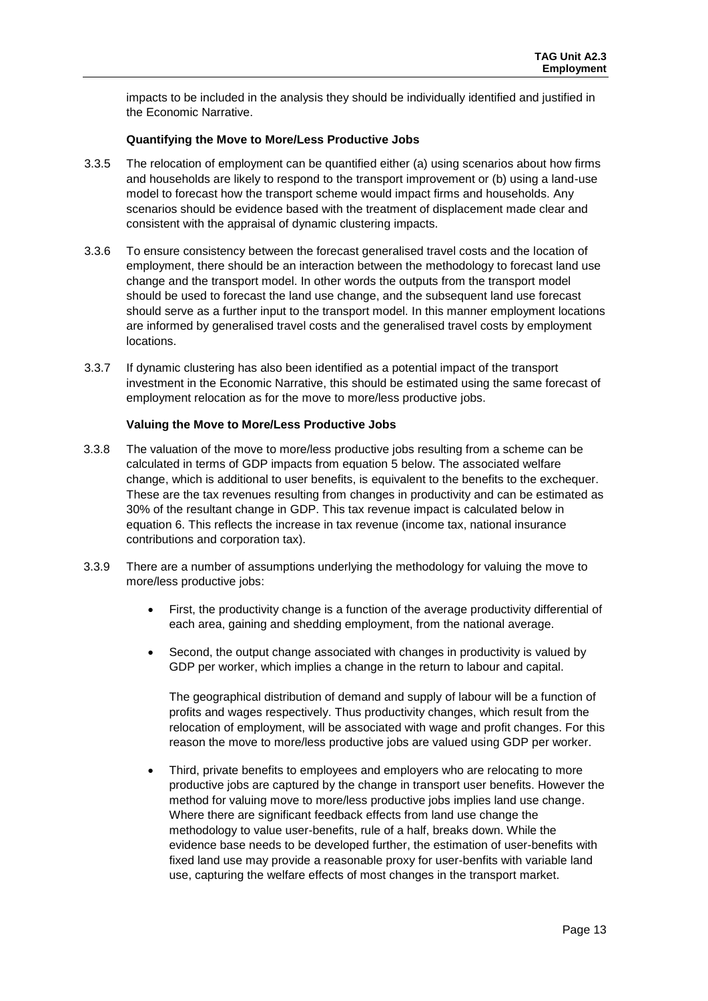impacts to be included in the analysis they should be individually identified and justified in the Economic Narrative.

#### **Quantifying the Move to More/Less Productive Jobs**

- 3.3.5 The relocation of employment can be quantified either (a) using scenarios about how firms and households are likely to respond to the transport improvement or (b) using a land-use model to forecast how the transport scheme would impact firms and households. Any scenarios should be evidence based with the treatment of displacement made clear and consistent with the appraisal of dynamic clustering impacts.
- 3.3.6 To ensure consistency between the forecast generalised travel costs and the location of employment, there should be an interaction between the methodology to forecast land use change and the transport model. In other words the outputs from the transport model should be used to forecast the land use change, and the subsequent land use forecast should serve as a further input to the transport model. In this manner employment locations are informed by generalised travel costs and the generalised travel costs by employment locations.
- 3.3.7 If dynamic clustering has also been identified as a potential impact of the transport investment in the Economic Narrative, this should be estimated using the same forecast of employment relocation as for the move to more/less productive jobs.

#### **Valuing the Move to More/Less Productive Jobs**

- 3.3.8 The valuation of the move to more/less productive jobs resulting from a scheme can be calculated in terms of GDP impacts from equation 5 below. The associated welfare change, which is additional to user benefits, is equivalent to the benefits to the exchequer. These are the tax revenues resulting from changes in productivity and can be estimated as 30% of the resultant change in GDP. This tax revenue impact is calculated below in equation 6. This reflects the increase in tax revenue (income tax, national insurance contributions and corporation tax).
- 3.3.9 There are a number of assumptions underlying the methodology for valuing the move to more/less productive jobs:
	- First, the productivity change is a function of the average productivity differential of each area, gaining and shedding employment, from the national average.
	- Second, the output change associated with changes in productivity is valued by GDP per worker, which implies a change in the return to labour and capital.

The geographical distribution of demand and supply of labour will be a function of profits and wages respectively. Thus productivity changes, which result from the relocation of employment, will be associated with wage and profit changes. For this reason the move to more/less productive jobs are valued using GDP per worker.

 Third, private benefits to employees and employers who are relocating to more productive jobs are captured by the change in transport user benefits. However the method for valuing move to more/less productive jobs implies land use change. Where there are significant feedback effects from land use change the methodology to value user-benefits, rule of a half, breaks down. While the evidence base needs to be developed further, the estimation of user-benefits with fixed land use may provide a reasonable proxy for user-benfits with variable land use, capturing the welfare effects of most changes in the transport market.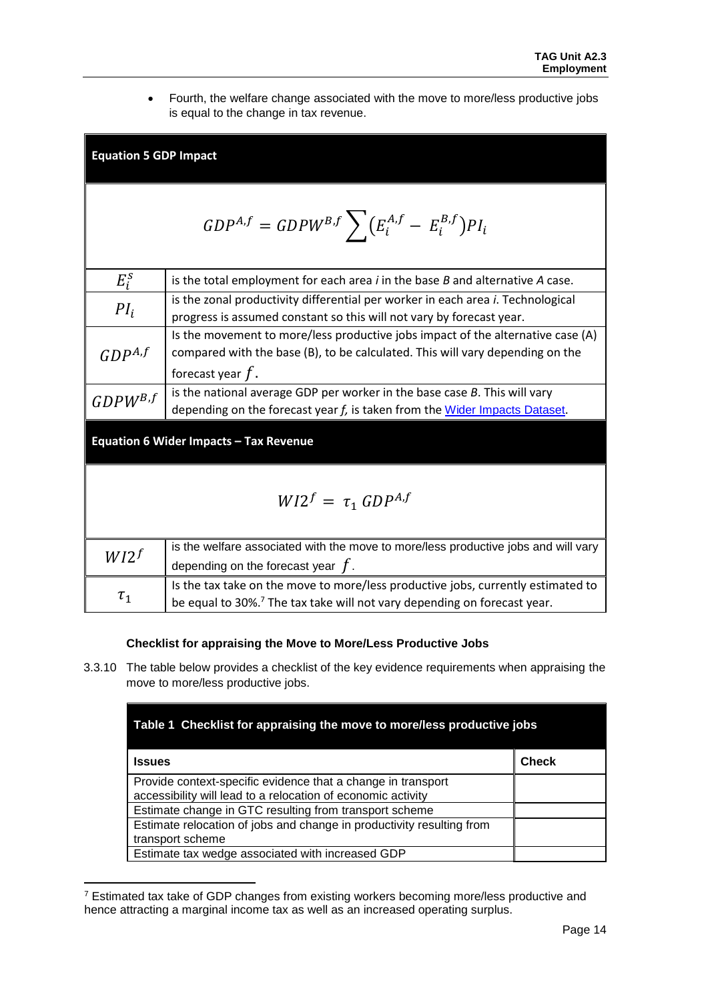Fourth, the welfare change associated with the move to more/less productive jobs is equal to the change in tax revenue.

| <b>Equation 5 GDP Impact</b>                                |                                                                                                                                                                                         |  |  |
|-------------------------------------------------------------|-----------------------------------------------------------------------------------------------------------------------------------------------------------------------------------------|--|--|
| $GDP^{A,f} = GDPW^{B,f}$ $\sum (E_i^{A,f} - E_i^{B,f})PI_i$ |                                                                                                                                                                                         |  |  |
| $E_i^s$                                                     | is the total employment for each area $i$ in the base $B$ and alternative $A$ case.                                                                                                     |  |  |
| $PI_i$                                                      | is the zonal productivity differential per worker in each area i. Technological<br>progress is assumed constant so this will not vary by forecast year.                                 |  |  |
| $GDP^{A,f}$                                                 | Is the movement to more/less productive jobs impact of the alternative case (A)<br>compared with the base (B), to be calculated. This will vary depending on the<br>forecast year $f$ . |  |  |
| $GDPW^{B,f}$                                                | is the national average GDP per worker in the base case $B$ . This will vary<br>depending on the forecast year f, is taken from the Wider Impacts Dataset.                              |  |  |
| Equation 6 Wider Impacts - Tax Revenue                      |                                                                                                                                                                                         |  |  |
| $W12^f = \tau_1 \text{ GDP}^{A,f}$                          |                                                                                                                                                                                         |  |  |
| $W12^f$                                                     | is the welfare associated with the move to more/less productive jobs and will vary<br>depending on the forecast year $f$ .                                                              |  |  |
| $\tau_1$                                                    | Is the tax take on the move to more/less productive jobs, currently estimated to<br>be equal to 30%. <sup>7</sup> The tax take will not vary depending on forecast year.                |  |  |

### **Checklist for appraising the Move to More/Less Productive Jobs**

3.3.10 The table below provides a checklist of the key evidence requirements when appraising the move to more/less productive jobs.

| Table 1 Checklist for appraising the move to more/less productive jobs                                                       |              |  |
|------------------------------------------------------------------------------------------------------------------------------|--------------|--|
| <b>Issues</b>                                                                                                                | <b>Check</b> |  |
| Provide context-specific evidence that a change in transport<br>accessibility will lead to a relocation of economic activity |              |  |
| Estimate change in GTC resulting from transport scheme                                                                       |              |  |
| Estimate relocation of jobs and change in productivity resulting from<br>transport scheme                                    |              |  |
| Estimate tax wedge associated with increased GDP                                                                             |              |  |

<sup>7</sup> Estimated tax take of GDP changes from existing workers becoming more/less productive and hence attracting a marginal income tax as well as an increased operating surplus.

 $\overline{\phantom{a}}$